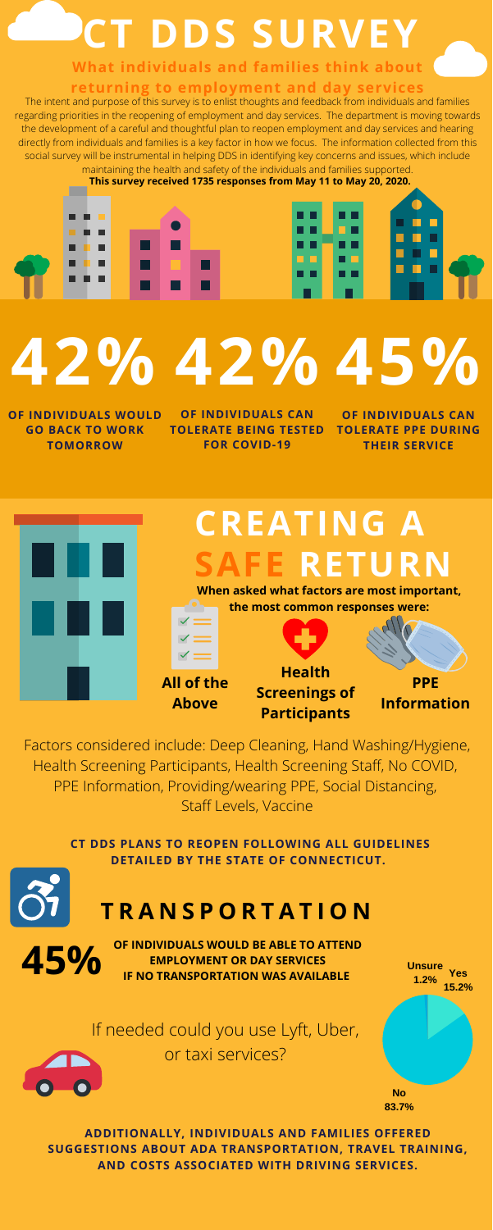# **CT DDS SURVEY**

**No 83.7%** **Yes**

**15.2%**

**Unsure**

**1.2%**

# **CREATING A RETURN**

Factors considered include: Deep Cleaning, Hand Washing/Hygiene, Health Screening Participants, Health Screening Staff, No COVID, PPE Information, Providing/wearing PPE, Social Distancing, Staff Levels, Vaccine

## **T R A N S P O R T A T I O N**

**CT DDS PLANS TO REOPEN FOLLOWING ALL GUIDELINES DETAILED BY THE STATE OF CONNECTICUT.**

**ADDITIONALLY, INDIVIDUALS AND FAMILIES OFFERED SUGGESTIONS ABOUT ADA TRANSPORTATION, TRAVEL TRAINING, AND COSTS ASSOCIATED WITH DRIVING SERVICES.**

**45%** OF INDIVIDUALS WOULD BE ABLE TO ATTEND<br>
IF NO TRANSPORTATION WAS AVAILABLE **EMPLOYMENT OR DAY SERVICES**

### **What individuals and families think about**

#### **returning to employment and day services**

# **45% 42% 42%**

**OF INDIVIDUALS WOULD GO BACK TO WORK TOMORROW**

**OF INDIVIDUALS CAN TOLERATE PPE DURING THEIR SERVICE**



**All of the Above**

**When asked what factors are most important, the most common responses were:**

> **PPE Information**

**Health Screenings of Participants**

**OF INDIVIDUALS CAN TOLERATE BEING TESTED FOR COVID-19**

#### If needed could you use Lyft, Uber, or taxi services?

The intent and purpose of this survey is to enlist thoughts and feedback from individuals and families regarding priorities in the reopening of employment and day services. The department is moving towards the development of a careful and thoughtful plan to reopen employment and day services and hearing directly from individuals and families is a key factor in how we focus. The information collected from this social survey will be instrumental in helping DDS in identifying key concerns and issues, which include maintaining the health and safety of the individuals and families supported.

**This survey received 1735 responses from May 11 to May 20, 2020.**